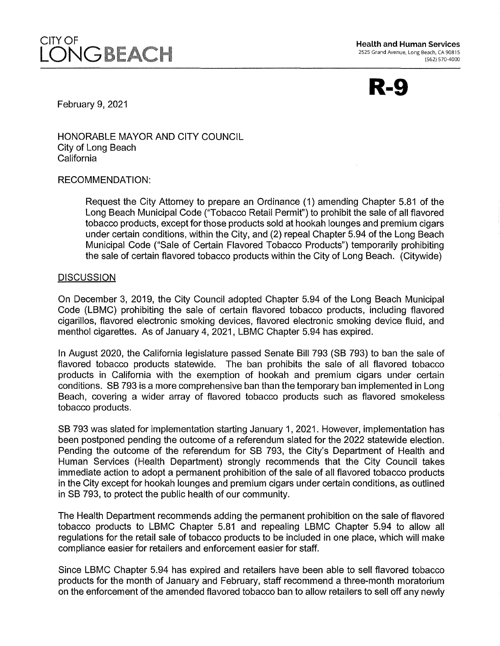

**Health and Human Services**<br>2525 Grand Avenue, Long Beach, CA 90815 (562) 570-4000



February 9, 2021

HONORABLE MAYOR AND CITY COUNCIL City of Long Beach California

#### RECOMMENDATION:

Request the City Attorney to prepare an Ordinance (1) amending Chapter 5.81 of the Long Beach Municipal Code ("Tobacco Retail Permit") to prohibit the sale of all flavored tobacco products, except for those products sold at hookah lounges and premium cigars under certain conditions, within the City, and (2) repeal Chapter 5.94 of the Long Beach Municipal Code ("Sale of Certain Flavored Tobacco Products") temporarily prohibiting the sale of certain flavored tobacco products within the City of Long Beach. (Citywide)

## **DISCUSSION**

On December 3, 2019, the City Council adopted Chapter 5.94 of the Long Beach Municipal Code (LBMC) prohibiting the sale of certain flavored tobacco products, including flavored cigarillos, flavored electronic smoking devices, flavored electronic smoking device fluid, and menthol cigarettes. As of January 4, 2021, LBMC Chapter 5.94 has expired.

In August 2020, the California legislature passed Senate Bill 793 (SB 793) to ban the sale of flavored tobacco products statewide. The ban prohibits the sale of all flavored tobacco products in California with the exemption of hookah and premium cigars under certain conditions. SB 793 is a more comprehensive ban than the temporary ban implemented in Long Beach, covering a wider array of flavored tobacco products such as flavored smokeless tobacco products.

SB 793 was slated for implementation starting January 1, 2021. However, implementation has been postponed pending the outcome of a referendum slated for the 2022 statewide election. Pending the outcome of the referendum for SB 793, the City's Department of Health and Human Services (Health Department) strongly recommends that the City Council takes immediate action to adopt a permanent prohibition of the sale of all flavored tobacco products in the City except for hookah lounges and premium cigars under certain conditions, as outlined in SB 793, to protect the public health of our community.

The Health Department recommends adding the permanent prohibition on the sale of flavored tobacco products to LBMC Chapter 5.81 and repealing LBMC Chapter 5.94 to allow all regulations for the retail sale of tobacco products to be included in one place, which will make compliance easier for retailers and enforcement easier for staff.

Since LBMC Chapter 5.94 has expired and retailers have been able to sell flavored tobacco products for the month of January and February, staff recommend a three-month moratorium on the enforcement of the amended flavored tobacco ban to allow retailers to sell off any newly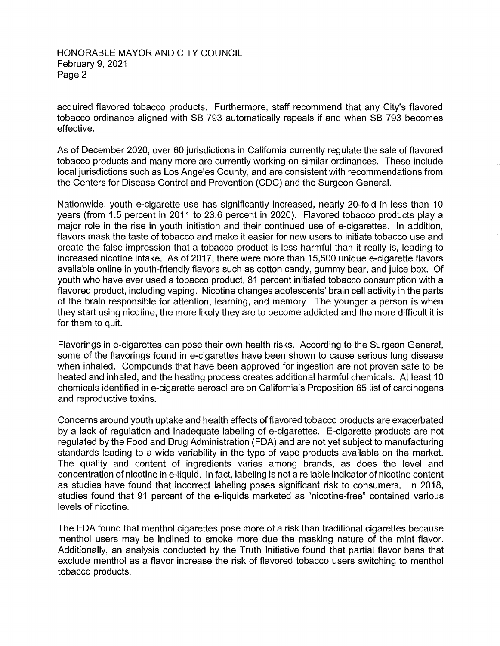HONORABLE MAYOR AND CITY COUNCIL February 9, 2021 Page 2

acquired flavored tobacco products. Furthermore, staff recommend that any City's flavored tobacco ordinance aligned with SB 793 automatically repeals if and when SB 793 becomes effective.

As of December 2020, over 60 jurisdictions in California currently regulate the sale of flavored tobacco products and many more are currently working on similar ordinances. These include local jurisdictions such as Los Angeles County, and are consistent with recommendations from the Centers for Disease Control and Prevention (CDC) and the Surgeon General.

Nationwide, youth e-cigarette use has significantly increased, nearly 20-fold in less than 10 years (from 1.5 percent in 2011 to 23.6 percent in 2020). Flavored tobacco products play a major role in the rise in youth initiation and their continued use of e-cigarettes. In addition, flavors mask the taste of tobacco and make it easier for new users to initiate tobacco use and create the false impression that a tobacco product is less harmful than it really is, leading to increased nicotine intake. As of 2017, there were more than 15,500 unique e-cigarette flavors available online in youth-friendly flavors such as cotton candy, gummy bear, and juice box. Of youth who have ever used a tobacco product, 81 percent initiated tobacco consumption with a flavored product, including vaping. Nicotine changes adolescents' brain cell activity in the parts of the brain responsible for attention, learning, and memory. The younger a person is when they start using nicotine, the more likely they are to become addicted and the more difficult it is for them to quit.

Flavorings in e-cigarettes can pose their own health risks. According to the Surgeon General, some of the flavorings found in e-cigarettes have been shown to cause serious lung disease when inhaled. Compounds that have been approved for ingestion are not proven safe to be heated and inhaled, and the heating process creates additional harmful chemicals. At least 10 chemicals identified in e-cigarette aerosol are on California's Proposition 65 list of carcinogens and reproductive toxins.

Concerns around youth uptake and health effects of flavored tobacco products are exacerbated by a lack of regulation and inadequate labeling of e-cigarettes. E-cigarette products are not regulated by the Food and Drug Administration (FDA) and are not yet subject to manufacturing standards leading to a wide variability in the type of vape products available on the market. The quality and content of ingredients varies among brands, as does the level and concentration of nicotine in e-liquid. In fact, labeling is not a reliable indicator of nicotine content as studies have found that incorrect labeling poses significant risk to consumers. In 2018, studies found that 91 percent of the e-liquids marketed as "nicotine-free" contained various levels of nicotine.

The FDA found that menthol cigarettes pose more of a risk than traditional cigarettes because menthol users may be inclined to smoke more due the masking nature of the mint flavor. Additionally, an analysis conducted by the Truth Initiative found that partial flavor bans that exclude menthol as a flavor increase the risk of flavored tobacco users switching to menthol tobacco products.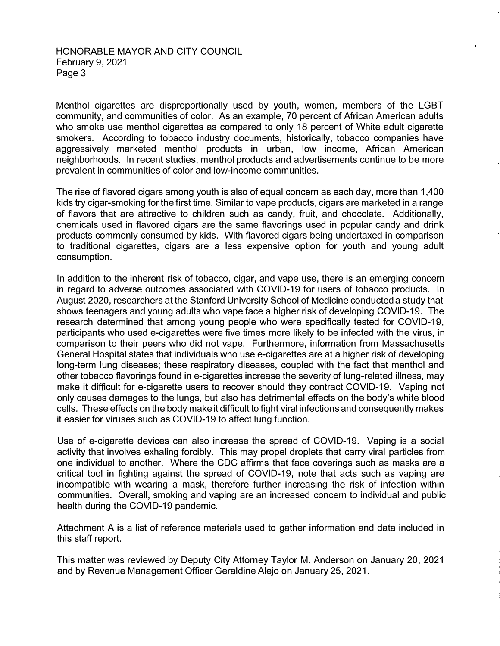## HONORABLE MAYOR AND CITY COUNCIL February 9, 2021 Page 3

Menthol cigarettes are disproportionally used by youth, women, members of the LGBT community, and communities of color. As an example, 70 percent of African American adults who smoke use menthol cigarettes as compared to only 18 percent of White adult cigarette smokers. According to tobacco industry documents, historically, tobacco companies have aggressively marketed menthol products in urban, low income, African American neighborhoods. In recent studies, menthol products and advertisements continue to be more prevalent in communities of color and low-income communities.

The rise of flavored cigars among youth is also of equal concern as each day, more than 1,400 kids try cigar-smoking for the first time. Similar to vape products, cigars are marketed in a range of flavors that are attractive to children such as candy, fruit, and chocolate. Additionally, chemicals used in flavored cigars are the same flavorings used in popular candy and drink products commonly consumed by kids. With flavored cigars being undertaxed in comparison to traditional cigarettes, cigars are a less expensive option for youth and young adult consumption.

In addition to the inherent risk of tobacco, cigar, and vape use, there is an emerging concern in regard to adverse outcomes associated with COVID-19 for users of tobacco products. In August 2020, researchers at the Stanford University School of Medicine conducted a study that shows teenagers and young adults who vape face a higher risk of developing COVID-19. The research determined that among young people who were specifically tested for COVID-19, participants who used e-cigarettes were five times more likely to be infected with the virus, in comparison to their peers who did not vape. Furthermore, information from Massachusetts General Hospital states that individuals who use e-cigarettes are at a higher risk of developing long-term lung diseases; these respiratory diseases, coupled with the fact that menthol and other tobacco flavorings found in e-cigarettes increase the severity of lung-related illness, may make it difficult for e-cigarette users to recover should they contract COVID-19. Vaping not only causes damages to the lungs, but also has detrimental effects on the body's white blood cells. These effects on the body makeit difficult to fight viral infections and consequently makes it easier for viruses such as COVID-19 to affect lung function.

Use of e-cigarette devices can also increase the spread of COVID-19. Vaping is a social activity that involves exhaling forcibly. This may propel droplets that carry viral particles from one individual to another. Where the CDC affirms that face coverings such as masks are a critical tool in fighting against the spread of COVID-19, note that acts such as vaping are incompatible with wearing a mask, therefore further increasing the risk of infection within communities. Overall, smoking and vaping are an increased concern to individual and public health during the COVID-19 pandemic.

Attachment A is a list of reference materials used to gather information and data included in this staff report.

This matter was reviewed by Deputy City Attorney Taylor M. Anderson on January 20, 2021 and by Revenue Management Officer Geraldine Alejo on January 25, 2021.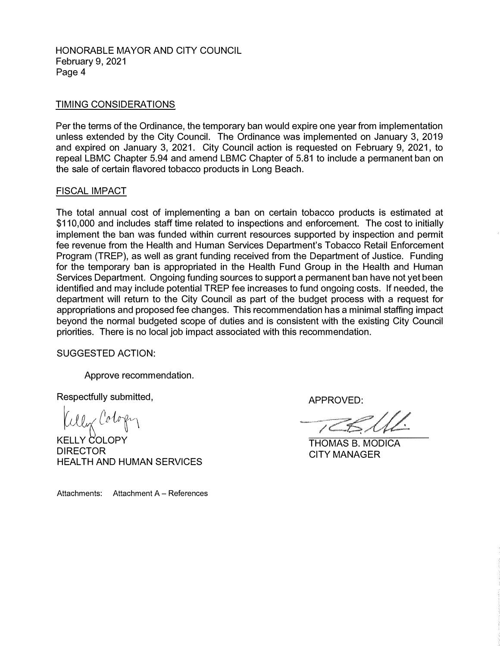HONORABLE MAYOR AND CITY COUNCIL February 9, 2021 Page 4

## TIMING CONSIDERATIONS

Per the terms of the Ordinance, the temporary ban would expire one year from implementation unless extended by the City Council. The Ordinance was implemented on January 3, 2019 and expired on January 3, 2021. City Council action is requested on February 9, 2021, to repeal LBMC Chapter 5.94 and amend LBMC Chapter of 5.81 to include a permanent ban on the sale of certain flavored tobacco products in Long Beach.

#### FISCAL IMPACT

The total annual cost of implementing a ban on certain tobacco products is estimated at \$110,000 and includes staff time related to inspections and enforcement. The cost to initially implement the ban was funded within current resources supported by inspection and permit fee revenue from the Health and Human Services Department's Tobacco Retail Enforcement Program (TREP), as well as grant funding received from the Department of Justice. Funding for the temporary ban is appropriated in the Health Fund Group in the Health and Human Services Department. Ongoing funding sources to support a permanent ban have not yet been identified and may include potential TREP fee increases to fund ongoing costs. If needed, the department will return to the City Council as part of the budget process with a request for appropriations and proposed fee changes. This recommendation has a minimal staffing impact beyond the normal budgeted scope of duties and is consistent with the existing City Council priorities. There is no local job impact associated with this recommendation.

SUGGESTED ACTION:

Approve recommendation.

Respectfully submitted,

ller l'ologi

**KELLY COLOPY** DIRECTOR HEAL TH AND HUMAN SERVICES

APPROVED:

THOMAS B. MODICA CITY MANAGER

Attachments: Attachment A - References